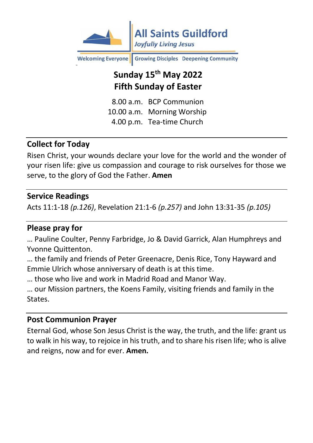

Growing Disciples Deepening Community **Welcoming Everyone** 

# **Sunday 15th May 2022 Fifth Sunday of Easter**

8.00 a.m. BCP Communion 10.00 a.m. Morning Worship 4.00 p.m. Tea-time Church

## **Collect for Today**

Risen Christ, your wounds declare your love for the world and the wonder of your risen life: give us compassion and courage to risk ourselves for those we serve, to the glory of God the Father. **Amen**

#### **Service Readings**

Acts 11:1-18 *(p.126)*, Revelation 21:1-6 *(p.257)* and John 13:31-35 *(p.105)*

#### **Please pray for**

… Pauline Coulter, Penny Farbridge, Jo & David Garrick, Alan Humphreys and Yvonne Quittenton.

… the family and friends of Peter Greenacre, Denis Rice, Tony Hayward and Emmie Ulrich whose anniversary of death is at this time.

… those who live and work in Madrid Road and Manor Way.

… our Mission partners, the Koens Family, visiting friends and family in the States.

#### **Post Communion Prayer**

Eternal God, whose Son Jesus Christ is the way, the truth, and the life: grant us to walk in his way, to rejoice in his truth, and to share his risen life; who is alive and reigns, now and for ever. **Amen.**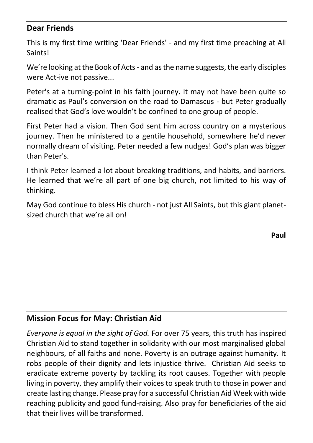#### **Dear Friends**

This is my first time writing 'Dear Friends' - and my first time preaching at All Saints!

We're looking at the Book of Acts - and as the name suggests, the early disciples were Act-ive not passive...

Peter's at a turning-point in his faith journey. It may not have been quite so dramatic as Paul's conversion on the road to Damascus - but Peter gradually realised that God's love wouldn't be confined to one group of people.

First Peter had a vision. Then God sent him across country on a mysterious journey. Then he ministered to a gentile household, somewhere he'd never normally dream of visiting. Peter needed a few nudges! God's plan was bigger than Peter's.

I think Peter learned a lot about breaking traditions, and habits, and barriers. He learned that we're all part of one big church, not limited to his way of thinking.

May God continue to bless His church - not just All Saints, but this giant planetsized church that we're all on!

**Paul**

## **Mission Focus for May: Christian Aid**

*Everyone is equal in the sight of God.* For over 75 years, this truth has inspired Christian Aid to stand together in solidarity with our most marginalised global neighbours, of all faiths and none. Poverty is an outrage against humanity. It robs people of their dignity and lets injustice thrive. Christian Aid seeks to eradicate extreme poverty by tackling its root causes. Together with people living in poverty, they amplify their voices to speak truth to those in power and create lasting change. Please pray for a successful Christian Aid Week with wide reaching publicity and good fund-raising. Also pray for beneficiaries of the aid that their lives will be transformed.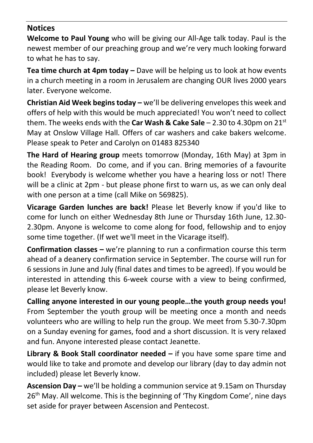#### **Notices**

**Welcome to Paul Young** who will be giving our All-Age talk today. Paul is the newest member of our preaching group and we're very much looking forward to what he has to say.

**Tea time church at 4pm today –** Dave will be helping us to look at how events in a church meeting in a room in Jerusalem are changing OUR lives 2000 years later. Everyone welcome.

**Christian Aid Week begins today –** we'll be delivering envelopes this week and offers of help with this would be much appreciated! You won't need to collect them. The weeks ends with the **Car Wash & Cake Sale** – 2.30 to 4.30pm on 21st May at Onslow Village Hall. Offers of car washers and cake bakers welcome. Please speak to Peter and Carolyn on 01483 825340

**The Hard of Hearing group** meets tomorrow (Monday, 16th May) at 3pm in the Reading Room. Do come, and if you can. Bring memories of a favourite book! Everybody is welcome whether you have a hearing loss or not! There will be a clinic at 2pm - but please phone first to warn us, as we can only deal with one person at a time (call Mike on 569825).

**Vicarage Garden lunches are back!** Please let Beverly know if you'd like to come for lunch on either Wednesday 8th June or Thursday 16th June, 12.30- 2.30pm. Anyone is welcome to come along for food, fellowship and to enjoy some time together. (If wet we'll meet in the Vicarage itself).

**Confirmation classes –** we're planning to run a confirmation course this term ahead of a deanery confirmation service in September. The course will run for 6 sessions in June and July (final dates and times to be agreed). If you would be interested in attending this 6-week course with a view to being confirmed, please let Beverly know.

**Calling anyone interested in our young people…the youth group needs you!** From September the youth group will be meeting once a month and needs volunteers who are willing to help run the group. We meet from 5.30-7.30pm on a Sunday evening for games, food and a short discussion. It is very relaxed and fun. Anyone interested please contact Jeanette.

**Library & Book Stall coordinator needed –** if you have some spare time and would like to take and promote and develop our library (day to day admin not included) please let Beverly know.

**Ascension Day –** we'll be holding a communion service at 9.15am on Thursday 26<sup>th</sup> May. All welcome. This is the beginning of 'Thy Kingdom Come', nine days set aside for prayer between Ascension and Pentecost.